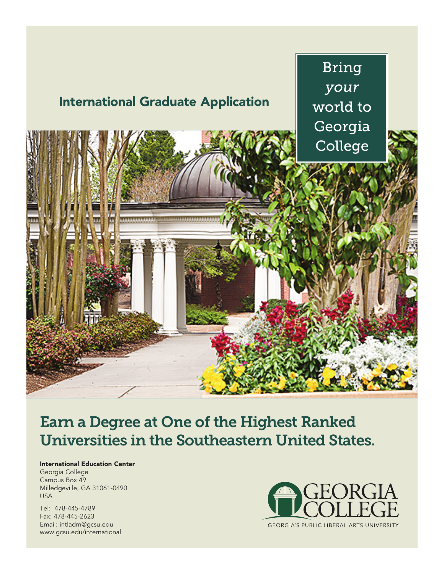

# **Earn a Degree at One of the Highest Ranked Universities in the Southeastern United States.**

## **International Education Center**

Georgia College Campus Box 49 Milledgeville, GA 31061-0490 USA

Tel: 478-445-4789 Fax: 478-445-2623 Email: intladm@gcsu.edu www.gcsu.edu/international

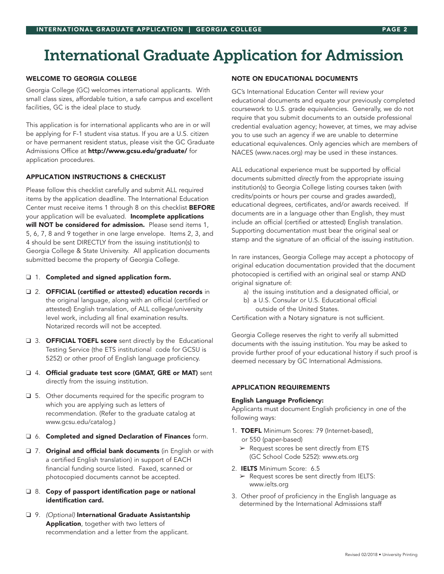# **International Graduate Application for Admission**

#### **WELCOME TO GEORGIA COLLEGE**

Georgia College (GC) welcomes international applicants. With small class sizes, affordable tuition, a safe campus and excellent facilities, GC is the ideal place to study.

This application is for international applicants who are in or will be applying for F-1 student visa status. If you are a U.S. citizen or have permanent resident status, please visit the GC Graduate Admissions Office at http://www.gcsu.edu/graduate/ for application procedures.

## **APPLICATION INSTRUCTIONS & CHECKLIST**

Please follow this checklist carefully and submit ALL required items by the application deadline. The International Education Center must receive items 1 through 8 on this checklist BEFORE your application will be evaluated. Incomplete applications will NOT be considered for admission. Please send items 1, 5, 6, 7, 8 and 9 together in one large envelope. Items 2, 3, and 4 should be sent DIRECTLY from the issuing institution(s) to Georgia College & State University. All application documents submitted become the property of Georgia College.

#### ❑ 1. Completed and signed application form.

- ❑ 2. OFFICIAL (certified or attested) education records in the original language, along with an official (certified or attested) English translation, of ALL college/university level work, including all final examination results. Notarized records will not be accepted.
- □ 3. **OFFICIAL TOEFL score** sent directly by the Educational Testing Service (the ETS institutional code for GCSU is 5252) or other proof of English language proficiency.
- ❑ 4. Official graduate test score (GMAT, GRE or MAT) sent directly from the issuing institution.
- ❑ 5. Other documents required for the specific program to which you are applying such as letters of recommendation. (Refer to the graduate catalog at www.gcsu.edu/catalog.)
- ❑ 6. Completed and signed Declaration of Finances form.
- □ 7. Original and official bank documents (in English or with a certified English translation) in support of EACH financial funding source listed. Faxed, scanned or photocopied documents cannot be accepted.
- ❑ 8. Copy of passport identification page or national identification card.
- ❑ 9. *(Optional)* International Graduate Assistantship Application, together with two letters of recommendation and a letter from the applicant.

## **NOTE ON EDUCATIONAL DOCUMENTS**

GC's International Education Center will review your educational documents and equate your previously completed coursework to U.S. grade equivalencies. Generally, we do not require that you submit documents to an outside professional credential evaluation agency; however, at times, we may advise you to use such an agency if we are unable to determine educational equivalences. Only agencies which are members of NACES (www.naces.org) may be used in these instances.

ALL educational experience must be supported by official documents submitted *directly* from the appropriate issuing institution(s) to Georgia College listing courses taken (with credits/points or hours per course and grades awarded), educational degrees, certificates, and/or awards received. If documents are in a language other than English, they must include an official (certified or attested) English translation. Supporting documentation must bear the original seal or stamp and the signature of an official of the issuing institution.

In rare instances, Georgia College may accept a photocopy of original education documentation provided that the document photocopied is certified with an original seal or stamp AND original signature of:

- a) the issuing institution and a designated official, or
- b) a U.S. Consular or U.S. Educational official outside of the United States.

Certification with a Notary signature is not sufficient.

Georgia College reserves the right to verify all submitted documents with the issuing institution. You may be asked to provide further proof of your educational history if such proof is deemed necessary by GC International Admissions.

## **APPLICATION REQUIREMENTS**

#### English Language Proficiency:

Applicants must document English proficiency in *one* of the following ways:

- 1. TOEFL Minimum Scores: 79 (Internet-based), or 550 (paper-based)
	- $\triangleright$  Request scores be sent directly from ETS (GC School Code 5252): www.ets.org
- 2. IELTS Minimum Score: 6.5 ➢ Request scores be sent directly from IELTS:
- www.ielts.org 3. Other proof of proficiency in the English language as
- determined by the International Admissions staff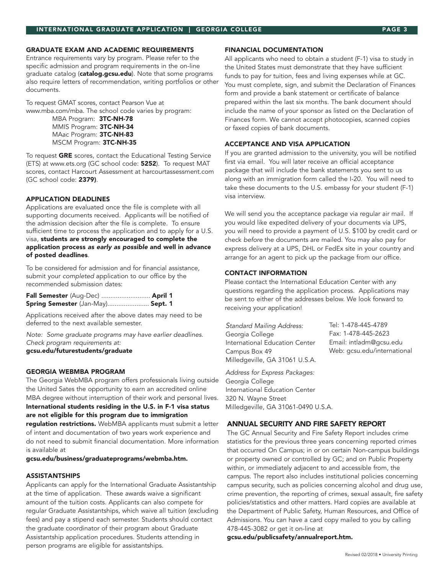#### **GRADUATE EXAM AND ACADEMIC REQUIREMENTS**

Entrance requirements vary by program. Please refer to the specific admission and program requirements in the on-line graduate catalog (catalog.gcsu.edu). Note that some programs also require letters of recommendation, writing portfolios or other documents.

To request GMAT scores, contact Pearson Vue at www.mba.com/mba. The school code varies by program:

MBA Program: 3TC-NH-78 MMIS Program: 3TC-NH-34 MAac Program: 3TC-NH-83 MSCM Program: 3TC-NH-35

To request GRE scores, contact the Educational Testing Service (ETS) at www.ets.org (GC school code: 5252). To request MAT scores, contact Harcourt Assessment at harcourtassessment.com (GC school code: 2379).

#### **APPLICATION DEADLINES**

Applications are evaluated once the file is complete with all supporting documents received. Applicants will be notified of the admission decision after the file is complete. To ensure sufficient time to process the application and to apply for a U.S. visa, students are strongly encouraged to complete the application process *as early as possible* and well in advance of posted deadlines.

To be considered for admission and for financial assistance, submit your *completed* application to our office by the recommended submission dates:

Fall Semester (Aug-Dec) ........................... April 1 Spring Semester (Jan-May)........................ Sept. 1

Applications received after the above dates may need to be deferred to the next available semester.

*Note: Some graduate programs may have earlier deadlines. Check program requirements at:* gcsu.edu/futurestudents/graduate

#### **GEORGIA WEBMBA PROGRAM**

The Georgia WebMBA program offers professionals living outside the United Sates the opportunity to earn an accredited online MBA degree without interruption of their work and personal lives. International students residing in the U.S. in F-1 visa status are not eligible for this program due to immigration regulation restrictions. WebMBA applicants must submit a letter of intent and documentation of two years work experience and do not need to submit financial documentation. More information is available at

gcsu.edu/business/graduateprograms/webmba.htm.

#### **ASSISTANTSHIPS**

Applicants can apply for the International Graduate Assistantship at the time of application. These awards waive a significant amount of the tuition costs. Applicants can also compete for regular Graduate Assistantships, which waive all tuition (excluding fees) and pay a stipend each semester. Students should contact the graduate coordinator of their program about Graduate Assistantship application procedures. Students attending in person programs are eligible for assistantships.

#### **FINANCIAL DOCUMENTATION**

All applicants who need to obtain a student (F-1) visa to study in the United States must demonstrate that they have sufficient funds to pay for tuition, fees and living expenses while at GC. You must complete, sign, and submit the Declaration of Finances form and provide a bank statement or certificate of balance prepared within the last six months. The bank document should include the name of your sponsor as listed on the Declaration of Finances form. We cannot accept photocopies, scanned copies or faxed copies of bank documents.

## **ACCEPTANCE AND VISA APPLICATION**

If you are granted admission to the university, you will be notified first via email. You will later receive an official acceptance package that will include the bank statements you sent to us along with an immigration form called the I-20. You will need to take these documents to the U.S. embassy for your student (F-1) visa interview.

We will send you the acceptance package via regular air mail. If you would like expedited delivery of your documents via UPS, you will need to provide a payment of U.S. \$100 by credit card or check *before* the documents are mailed. You may also pay for express delivery at a UPS, DHL or FedEx site in your country and arrange for an agent to pick up the package from our office.

#### **CONTACT INFORMATION**

Please contact the International Education Center with any questions regarding the application process. Applications may be sent to either of the addresses below. We look forward to receiving your application!

*Standard Mailing Address:* Georgia College International Education Center Campus Box 49 Milledgeville, GA 31061 U.S.A. Tel: 1-478-445-4789 Fax: 1-478-445-2623 Email: intladm@gcsu.edu Web: gcsu.edu/international

*Address for Express Packages:* Georgia College International Education Center 320 N. Wayne Street Milledgeville, GA 31061-0490 U.S.A.

# **ANNUAL SECURITY AND FIRE SAFETY REPORT**

The GC Annual Security and Fire Safety Report includes crime statistics for the previous three years concerning reported crimes that occurred On Campus; in or on certain Non-campus buildings or property owned or controlled by GC; and on Public Property within, or immediately adjacent to and accessible from, the campus. The report also includes institutional policies concerning campus security, such as policies concerning alcohol and drug use, crime prevention, the reporting of crimes, sexual assault, fire safety policies/statistics and other matters. Hard copies are available at the Department of Public Safety, Human Resources, and Office of Admissions. You can have a card copy mailed to you by calling 478-445-3082 or get it on-line at

#### gcsu.edu/publicsafety/annualreport.htm.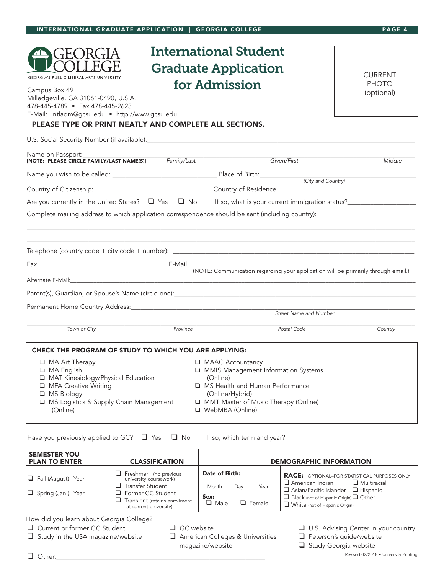| <b>GEORGIA'S PUBLIC LIBERAL ARTS UNIVERSITY</b><br>Campus Box 49<br>Milledgeville, GA 31061-0490, U.S.A.<br>478-445-4789 • Fax 478-445-2623<br>E-Mail: intladm@gcsu.edu • http://www.gcsu.edu<br>PLEASE TYPE OR PRINT NEATLY AND COMPLETE ALL SECTIONS. |          | International Student<br><b>Graduate Application</b><br>for Admission                                                                                                                    | <b>CURRENT</b><br><b>PHOTO</b><br>(optional) |
|---------------------------------------------------------------------------------------------------------------------------------------------------------------------------------------------------------------------------------------------------------|----------|------------------------------------------------------------------------------------------------------------------------------------------------------------------------------------------|----------------------------------------------|
|                                                                                                                                                                                                                                                         |          |                                                                                                                                                                                          |                                              |
| Name on Passport:_______________                                                                                                                                                                                                                        |          | Given/First                                                                                                                                                                              | Middle                                       |
|                                                                                                                                                                                                                                                         |          |                                                                                                                                                                                          |                                              |
|                                                                                                                                                                                                                                                         |          |                                                                                                                                                                                          |                                              |
| Are you currently in the United States? $\Box$ Yes $\Box$ No If so, what is your current immigration status?                                                                                                                                            |          |                                                                                                                                                                                          |                                              |
|                                                                                                                                                                                                                                                         |          |                                                                                                                                                                                          |                                              |
|                                                                                                                                                                                                                                                         |          |                                                                                                                                                                                          |                                              |
|                                                                                                                                                                                                                                                         |          |                                                                                                                                                                                          |                                              |
|                                                                                                                                                                                                                                                         |          |                                                                                                                                                                                          |                                              |
|                                                                                                                                                                                                                                                         |          | Street Name and Number                                                                                                                                                                   |                                              |
| Town or City                                                                                                                                                                                                                                            | Province | Postal Code                                                                                                                                                                              | Country                                      |
| CHECK THE PROGRAM OF STUDY TO WHICH YOU ARE APPLYING:<br><b>I</b> MA Art Therapy<br>□ MA English<br>MAT Kinesiology/Physical Education<br><b>Q</b> MFA Creative Writing<br>□ MS Biology<br>MS Logistics & Supply Chain Management<br>(Online)           |          | MAAC Accountancy<br>MMIS Management Information Systems<br>(Online)<br>□ MS Health and Human Performance<br>(Online/Hybrid)<br>MMT Master of Music Therapy (Online)<br>□ WebMBA (Online) |                                              |

**INTERNATIONAL GRADUATE APPLICATION | GEORGIA COLLEGE PAGE 4**

Have you previously applied to GC? □ Yes □ No If so, which term and year?

| <b>SEMESTER YOU</b><br><b>PLAN TO ENTER</b> | <b>CLASSIFICATION</b>                                                                                                                                               | <b>DEMOGRAPHIC INFORMATION</b>                                                 |                                                                                                                                                                                                                                         |  |
|---------------------------------------------|---------------------------------------------------------------------------------------------------------------------------------------------------------------------|--------------------------------------------------------------------------------|-----------------------------------------------------------------------------------------------------------------------------------------------------------------------------------------------------------------------------------------|--|
| Fall (August) Year<br>Spring (Jan.) Year    | Freshman (no previous<br>university coursework)<br>$\Box$ Transfer Student<br><b>E</b> Former GC Student<br>Transient (retains enrollment<br>at current university) | Date of Birth:<br>Month<br>Year<br>Day<br>Sex:<br>$\Box$ Male<br>$\Box$ Female | <b>RACE:</b> OPTIONAL-FOR STATISTICAL PURPOSES ONLY<br>$\Box$ Multiracial<br>$\Box$ American Indian<br>$\Box$ Asian/Pacific Islander $\Box$ Hispanic<br>Black (not of Hispanic Origin) Q Other<br>$\Box$ White (not of Hispanic Origin) |  |

How did you learn about Georgia College?

- ❑ Study in the USA magazine/website ❑ American Colleges & Universities ❑ Peterson's guide/website
	-
- ❑ Current or former GC Student ❑ GC website ❑ U.S. Advising Center in your country
	-
	- magazine/website ❑ Study Georgia website

Revised 02/2018 • University Printing

❑ Other:\_\_\_\_\_\_\_\_\_\_\_\_\_\_\_\_\_\_\_\_\_\_\_\_\_\_\_\_\_\_\_\_\_\_\_\_\_\_\_\_\_\_\_\_\_\_\_\_\_\_\_\_\_\_\_\_\_\_\_\_\_\_\_\_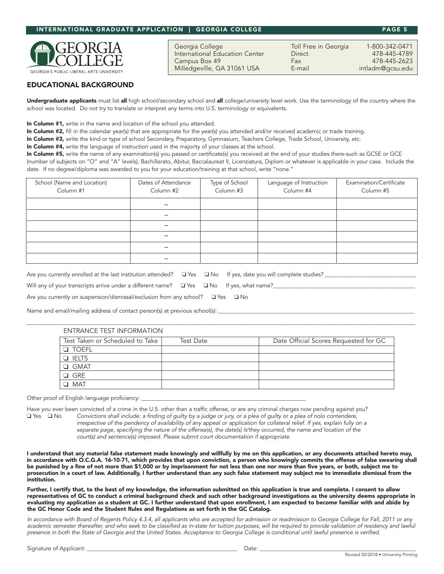# **INTERNATIONAL GRADUATE APPLICATION | GEORGIA COLLEGE PAGE 5**

**GEORGIA'S PUBLIC LIBERAL ARTS** 

# **EDUCATIONAL BACKGROUND**

Undergraduate applicants must list all high school/secondary school and all college/university level work. Use the terminology of the country where the school was located. Do not try to translate or interpret any terms into U.S. terminology or equivalents.

In Column #1, write in the name and location of the school you attended.

In Column #2, fill in the calendar year(s) that are appropriate for the year(s) you attended and/or received academic or trade training.

In Column #3, write the kind or type of school Secondary, Preparatory, Gymnasium, Teachers College, Trade School, University, etc.

In Column #4, write the language of instruction used in the majority of your classes at the school.

In Column #5, write the name of any examination(s) you passed or certificate(s) you received at the end of your studies there-such as GCSE or GCE (number of subjects on "O" and "A" levels), Bachillerato, Abitur, Baccalaureat II, Licenziatura, Diplom or whatever is applicable in your case. Include the date. If no degree/diploma was awarded to you for your education/training at that school, write "none."

| School (Name and Location)<br>Column #1 | Dates of Attendance<br>Column #2 | Type of School<br>Column #3 | Language of Instruction<br>Column #4 | Examination/Certificate<br>Column #5 |
|-----------------------------------------|----------------------------------|-----------------------------|--------------------------------------|--------------------------------------|
|                                         |                                  |                             |                                      |                                      |
|                                         |                                  |                             |                                      |                                      |
|                                         |                                  |                             |                                      |                                      |
|                                         |                                  |                             |                                      |                                      |
|                                         |                                  |                             |                                      |                                      |
|                                         |                                  |                             |                                      |                                      |

Are you currently enrolled at the last institution attended? ❑ Yes ❑ No If yes, date you will complete studies? \_\_\_\_\_\_\_\_\_\_\_\_\_\_\_\_\_\_\_\_\_\_\_\_\_\_\_\_\_\_\_\_

Will any of your transcripts arrive under a different name?  $□$  Yes  $□$  No If yes, what name?

Are you currently on suspension/dismissal/exclusion from any school?  $□$  Yes  $□$  No

Name and email/mailing address of contact person(s) at previous school(s): \_

# ENTRANCE TEST INFORMATION

| Test Taken or Scheduled to Take | <b>Test Date</b> | Date Official Scores Requested for GC |
|---------------------------------|------------------|---------------------------------------|
| <b>D</b> TOEFL                  |                  |                                       |
| $\Box$ IELTS                    |                  |                                       |
| $\Box$ GMAT                     |                  |                                       |
| $\Box$ GRE                      |                  |                                       |
| $\Box$ MAT                      |                  |                                       |

\_\_\_\_\_\_\_\_\_\_\_\_\_\_\_\_\_\_\_\_\_\_\_\_\_\_\_\_\_\_\_\_\_\_\_\_\_\_\_\_\_\_\_\_\_\_\_\_\_\_\_\_\_\_\_\_\_\_\_\_\_\_\_\_\_\_\_\_\_\_\_\_\_\_\_\_\_\_\_\_\_\_\_\_\_\_\_\_\_\_\_\_\_\_\_\_\_\_\_\_\_\_\_\_\_\_\_\_\_\_\_\_\_\_\_\_\_\_\_\_\_\_\_\_\_\_\_\_\_\_\_\_\_\_\_\_\_

Other proof of English language proficiency:

Have you ever been convicted of a crime in the U.S. other than a traffic offense, or are any criminal charges now pending against you? □ Yes □ No Convictions shall include: a finding of guilty by a judge or jury, or a plea of guilty or a plea of nolo contendere, irrespective of the pendency of availability of any appeal or application for collateral relief. If yes, explain fully on a separate page, specifying the nature of the offense(s), the date(s) it/they occurred, the name and location of the  *court(s) and sentence(s) imposed. Please submit court documentation if appropriate.*

I understand that any material false statement made knowingly and willfully by me on this application, or any documents attached hereto may, in accordance with O.C.G.A. 16-10-71, which provides that upon conviction, a person who knowingly commits the offense of false swearing shall be punished by a fine of not more than \$1,000 or by imprisonment for not less than one nor more than five years, or both, subject me to prosecution in a court of law. Additionally, I further understand than any such false statement may subject me to immediate dismissal from the institution.

Further, I certify that, to the best of my knowledge, the information submitted on this application is true and complete. I consent to allow representatives of GC to conduct a criminal background check and such other background investigations as the university deems appropriate in evaluating my application as a student at GC. I further understand that upon enrollment, I am expected to become familiar with and abide by the GC Honor Code and the Student Rules and Regulations as set forth in the GC Catalog.

In accordance with Board of Regents Policy 4.3.4, all applicants who are accepted for admission or readmission to Georgia College for Fall, 2011 or any academic semester thereafter, and who seek to be classified as in-state for tuition purposes, will be required to provide validation of residency and lawful presence in both the State of Georgia and the United States. Acceptance to Georgia College is conditional until lawful presence is verified.

Georgia College Toll Free in Georgia 1-800-342-0471 International Education Center **Direct** Campus Box 49 Fax 478-445-2623<br>Milledgeville, GA 31061 USA E-mail for a hitladm@gcsu.edu Milledgeville, GA 31061 USA E-mail intladm@gcsu.edu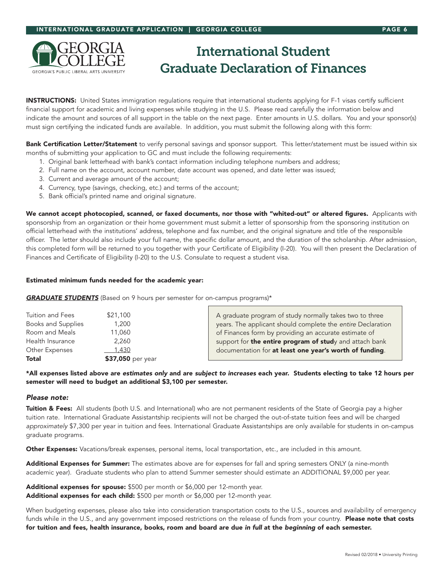

# **International Student Graduate Declaration of Finances**

**INSTRUCTIONS:** United States immigration regulations require that international students applying for F-1 visas certify sufficient financial support for academic and living expenses while studying in the U.S. Please read carefully the information below and indicate the amount and sources of all support in the table on the next page. Enter amounts in U.S. dollars. You and your sponsor(s) must sign certifying the indicated funds are available. In addition, you must submit the following along with this form:

Bank Certification Letter/Statement to verify personal savings and sponsor support. This letter/statement must be issued within six months of submitting your application to GC and must include the following requirements:

- 1. Original bank letterhead with bank's contact information including telephone numbers and address;
- 2. Full name on the account, account number, date account was opened, and date letter was issued;
- 3. Current and average amount of the account;
- 4. Currency, type (savings, checking, etc.) and terms of the account;
- 5. Bank official's printed name and original signature.

We cannot accept photocopied, scanned, or faxed documents, nor those with "whited-out" or altered figures. Applicants with sponsorship from an organization or their home government must submit a letter of sponsorship from the sponsoring institution on official letterhead with the institutions' address, telephone and fax number, and the original signature and title of the responsible officer. The letter should also include your full name, the specific dollar amount, and the duration of the scholarship. After admission, this completed form will be returned to you together with your Certificate of Eligibility (I-20). You will then present the Declaration of Finances and Certificate of Eligibility (I-20) to the U.S. Consulate to request a student visa.

## **Estimated minimum funds needed for the academic year:**

*GRADUATE STUDENTS* (Based on 9 hours per semester for on-campus programs)\*

| Tuition and Fees          | \$21,100          | A graduate program of study normally takes two to three     |
|---------------------------|-------------------|-------------------------------------------------------------|
| <b>Books and Supplies</b> | 1,200             | years. The applicant should complete the entire Declaration |
| Room and Meals            | 11,060            | of Finances form by providing an accurate estimate of       |
| Health Insurance          | 2.260             | support for the entire program of study and attach bank     |
| Other Expenses            | 1,430             | documentation for at least one year's worth of funding.     |
| Total                     | \$37,050 per year |                                                             |

\*All expenses listed above are *estimates only* and are *subject to increases* each year. Students electing to take 12 hours per semester will need to budget an additional \$3,100 per semester.

#### *Please note:*

Tuition & Fees: All students (both U.S. and International) who are not permanent residents of the State of Georgia pay a higher tuition rate. International Graduate Assistantship recipients will not be charged the out-of-state tuition fees and will be charged *approximately* \$7,300 per year in tuition and fees. International Graduate Assistantships are only available for students in on-campus graduate programs.

Other Expenses: Vacations/break expenses, personal items, local transportation, etc., are included in this amount.

Additional Expenses for Summer: The estimates above are for expenses for fall and spring semesters ONLY (a nine-month academic year). Graduate students who plan to attend Summer semester should estimate an ADDITIONAL \$9,000 per year.

Additional expenses for spouse: \$500 per month or \$6,000 per 12-month year. Additional expenses for each child: \$500 per month or \$6,000 per 12-month year.

When budgeting expenses, please also take into consideration transportation costs to the U.S., sources and availability of emergency funds while in the U.S., and any government imposed restrictions on the release of funds from your country. Please note that costs for tuition and fees, health insurance, books, room and board are due *in full* at the *beginning* of each semester.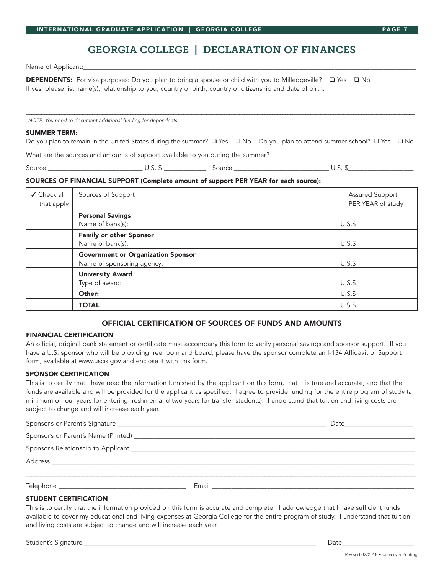# **GEORGIA COLLEGE | DECLARATION OF FINANCES**

Name of Applicant:

DEPENDENTS: For visa purposes: Do you plan to bring a spouse or child with you to Milledgeville? **Q** Yes Q No If yes, please list name(s), relationship to you, country of birth, country of citizenship and date of birth:

*NOTE: You need to document additional funding for dependents.*

#### **SUMMER TERM:**

Do you plan to remain in the United States during the summer? Q Yes Q No Do you plan to attend summer school? Q Yes Q No

\_\_\_\_\_\_\_\_\_\_\_\_\_\_\_\_\_\_\_\_\_\_\_\_\_\_\_\_\_\_\_\_\_\_\_\_\_\_\_\_\_\_\_\_\_\_\_\_\_\_\_\_\_\_\_\_\_\_\_\_\_\_\_\_\_\_\_\_\_\_\_\_\_\_\_\_\_\_\_\_\_\_\_\_\_\_\_\_\_\_\_\_\_\_\_\_\_\_\_\_\_\_\_\_\_\_\_\_\_\_\_\_\_\_\_\_\_\_\_\_\_\_\_\_\_\_\_\_\_\_\_\_\_\_\_\_\_\_\_\_\_\_\_\_\_\_\_\_\_\_\_\_\_ \_\_\_\_\_\_\_\_\_\_\_\_\_\_\_\_\_\_\_\_\_\_\_\_\_\_\_\_\_\_\_\_\_\_\_\_\_\_\_\_\_\_\_\_\_\_\_\_\_\_\_\_\_\_\_\_\_\_\_\_\_\_\_\_\_\_\_\_\_\_\_\_\_\_\_\_\_\_\_\_\_\_\_\_\_\_\_\_\_\_\_\_\_\_\_\_\_\_\_\_\_\_\_\_\_\_\_\_\_\_\_\_\_\_\_\_\_\_\_\_\_\_\_\_\_\_\_\_\_\_\_\_\_\_\_\_\_\_\_\_\_\_\_\_\_\_\_\_\_\_\_\_\_

What are the sources and amounts of support available to you during the summer?

Source \_\_\_\_\_\_\_\_\_\_\_\_\_\_\_\_\_\_\_\_\_\_\_\_\_\_\_\_\_ U.S. \$ \_\_\_\_\_\_\_\_\_\_\_\_\_ Source \_\_\_\_\_\_\_\_\_\_\_\_\_\_\_\_\_\_\_\_\_\_\_\_\_\_\_\_\_ U.S. \$\_\_\_\_\_\_\_\_\_\_\_\_\_\_\_\_\_\_\_\_

## **SOURCES OF FINANCIAL SUPPORT (Complete amount of support PER YEAR for each source):**

| ✔ Check all<br>that apply | Sources of Support                                 | Assured Support<br>PER YEAR of study |
|---------------------------|----------------------------------------------------|--------------------------------------|
|                           | <b>Personal Savings</b>                            |                                      |
|                           | Name of bank(s):<br><b>Family or other Sponsor</b> | $U.S.\$                              |
|                           | Name of bank(s):                                   | $U.S.\$                              |
|                           | <b>Government or Organization Sponsor</b>          |                                      |
|                           | Name of sponsoring agency:                         | $U.S.\$                              |
|                           | <b>University Award</b>                            |                                      |
|                           | Type of award:                                     | $U.S.\$                              |
|                           | Other:                                             | $U.S.\$                              |
|                           | <b>TOTAL</b>                                       | $U.S.\$                              |

# **OFFICIAL CERTIFICATION OF SOURCES OF FUNDS AND AMOUNTS**

## FINANCIAL CERTIFICATION

An official, original bank statement or certificate must accompany this form to verify personal savings and sponsor support. If you have a U.S. sponsor who will be providing free room and board, please have the sponsor complete an I-134 Affidavit of Support form, available at www.uscis.gov and enclose it with this form.

#### SPONSOR CERTIFICATION

This is to certify that I have read the information furnished by the applicant on this form, that it is true and accurate, and that the funds are available and will be provided for the applicant as specified. I agree to provide funding for the entire program of study (a minimum of four years for entering freshmen and two years for transfer students). I understand that tuition and living costs are subject to change and will increase each year.

|           |       | Date <u>______________</u> |  |  |
|-----------|-------|----------------------------|--|--|
|           |       |                            |  |  |
|           |       |                            |  |  |
|           |       |                            |  |  |
|           |       |                            |  |  |
| Telephone | Email |                            |  |  |

# STUDENT CERTIFICATION

This is to certify that the information provided on this form is accurate and complete. I acknowledge that I have sufficient funds available to cover my educational and living expenses at Georgia College for the entire program of study. I understand that tuition and living costs are subject to change and will increase each year.

Student's Signature \_\_\_\_\_\_\_\_\_\_\_\_\_\_\_\_\_\_\_\_\_\_\_\_\_\_\_\_\_\_\_\_\_\_\_\_\_\_\_\_\_\_\_\_\_\_\_\_\_\_\_\_\_\_\_\_\_\_\_\_\_\_\_\_\_\_\_\_\_\_\_ Date\_\_\_\_\_\_\_\_\_\_\_\_\_\_\_\_\_\_\_\_\_\_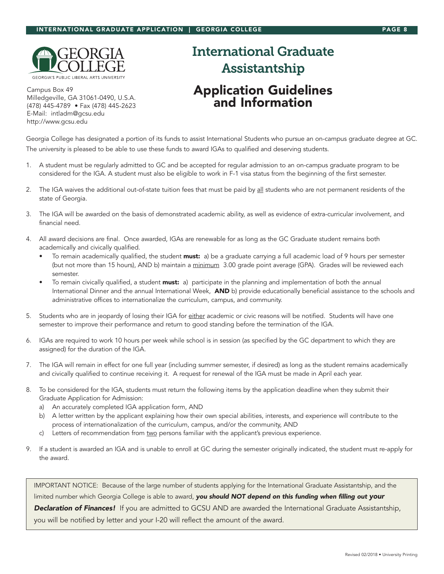

Campus Box 49 Milledgeville, GA 31061-0490, U.S.A. (478) 445-4789 • Fax (478) 445-2623 E-Mail: intladm@gcsu.edu http://www.gcsu.edu

# **International Graduate Assistantship Application Guidelines and Information**

Georgia College has designated a portion of its funds to assist International Students who pursue an on-campus graduate degree at GC. The university is pleased to be able to use these funds to award IGAs to qualified and deserving students.

- 1. A student must be regularly admitted to GC and be accepted for regular admission to an on-campus graduate program to be considered for the IGA. A student must also be eligible to work in F-1 visa status from the beginning of the first semester.
- 2. The IGA waives the additional out-of-state tuition fees that must be paid by all students who are not permanent residents of the state of Georgia.
- 3. The IGA will be awarded on the basis of demonstrated academic ability, as well as evidence of extra-curricular involvement, and financial need.
- 4. All award decisions are final. Once awarded, IGAs are renewable for as long as the GC Graduate student remains both academically and civically qualified.
	- To remain academically qualified, the student **must:** a) be a graduate carrying a full academic load of 9 hours per semester (but not more than 15 hours), AND b) maintain a minimum 3.00 grade point average (GPA). Grades will be reviewed each semester.
	- To remain civically qualified, a student must: a) participate in the planning and implementation of both the annual International Dinner and the annual International Week, AND b) provide educationally beneficial assistance to the schools and administrative offices to internationalize the curriculum, campus, and community.
- 5. Students who are in jeopardy of losing their IGA for either academic or civic reasons will be notified. Students will have one semester to improve their performance and return to good standing before the termination of the IGA.
- 6. IGAs are required to work 10 hours per week while school is in session (as specified by the GC department to which they are assigned) for the duration of the IGA.
- 7. The IGA will remain in effect for one full year (including summer semester, if desired) as long as the student remains academically and civically qualified to continue receiving it. A request for renewal of the IGA must be made in April each year.
- 8. To be considered for the IGA, students must return the following items by the application deadline when they submit their Graduate Application for Admission:
	- a) An accurately completed IGA application form, AND
	- b) A letter written by the applicant explaining how their own special abilities, interests, and experience will contribute to the process of internationalization of the curriculum, campus, and/or the community, AND
	- c) Letters of recommendation from two persons familiar with the applicant's previous experience.
- 9. If a student is awarded an IGA and is unable to enroll at GC during the semester originally indicated, the student must re-apply for the award.

IMPORTANT NOTICE: Because of the large number of students applying for the International Graduate Assistantship, and the limited number which Georgia College is able to award, *you should NOT depend on this funding when filling out your Declaration of Finances!* If you are admitted to GCSU AND are awarded the International Graduate Assistantship, you will be notified by letter and your I-20 will reflect the amount of the award.